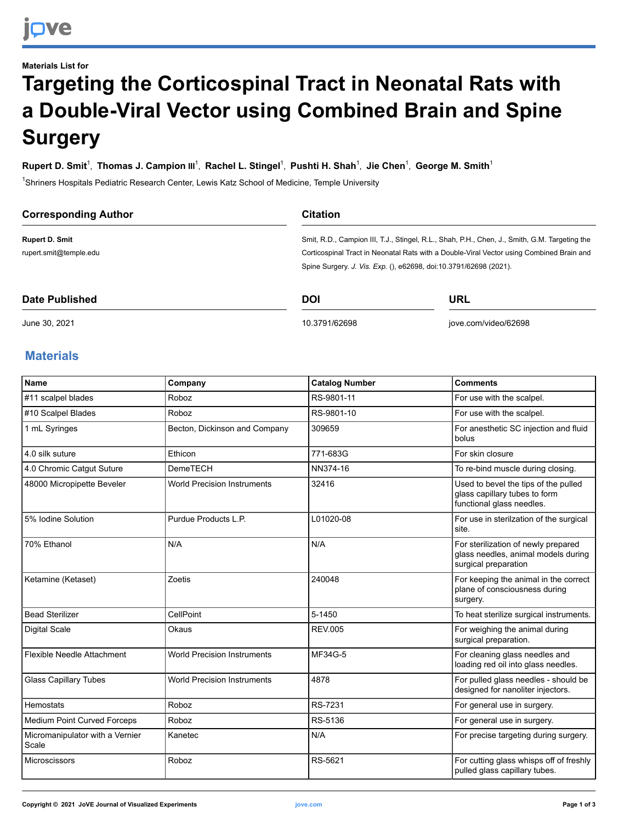## **Materials List for Targeting the Corticospinal Tract in Neonatal Rats with a Double-Viral Vector using Combined Brain and Spine Surgery**

 $R$ upert D. Smit<sup>1</sup>, Thomas J. Campion III<sup>1</sup>, Rachel L. Stingel<sup>1</sup>, Pushti H. Shah<sup>1</sup>, Jie Chen<sup>1</sup>, George M. Smith<sup>1</sup>

<sup>1</sup>Shriners Hospitals Pediatric Research Center, Lewis Katz School of Medicine, Temple University

| <b>Corresponding Author</b> | <b>Citation</b>                                                                               |            |  |
|-----------------------------|-----------------------------------------------------------------------------------------------|------------|--|
| <b>Rupert D. Smit</b>       | Smit, R.D., Campion III, T.J., Stingel, R.L., Shah, P.H., Chen, J., Smith, G.M. Targeting the |            |  |
| rupert.smit@temple.edu      | Corticospinal Tract in Neonatal Rats with a Double-Viral Vector using Combined Brain and      |            |  |
|                             | Spine Surgery. J. Vis. Exp. (), e62698, doi:10.3791/62698 (2021).                             |            |  |
| Date Published              | DOI                                                                                           | <b>URL</b> |  |

June 30, 2021

[10.3791/62698](http://dx.doi.org/10.3791/62698)

[jove.com/video/62698](https://www.jove.com/video/62698)

## **Materials**

| Name                                     | Company                            | <b>Catalog Number</b> | <b>Comments</b>                                                                                    |
|------------------------------------------|------------------------------------|-----------------------|----------------------------------------------------------------------------------------------------|
| #11 scalpel blades                       | Roboz                              | RS-9801-11            | For use with the scalpel.                                                                          |
| #10 Scalpel Blades                       | Roboz                              | RS-9801-10            | For use with the scalpel.                                                                          |
| 1 mL Syringes                            | Becton, Dickinson and Company      | 309659                | For anesthetic SC injection and fluid<br>bolus                                                     |
| 4.0 silk suture                          | Ethicon                            | 771-683G              | For skin closure                                                                                   |
| 4.0 Chromic Catqut Suture                | <b>DemeTECH</b>                    | NN374-16              | To re-bind muscle during closing.                                                                  |
| 48000 Micropipette Beveler               | <b>World Precision Instruments</b> | 32416                 | Used to bevel the tips of the pulled<br>glass capillary tubes to form<br>functional glass needles. |
| 5% Iodine Solution                       | Purdue Products L.P.               | L01020-08             | For use in sterilzation of the surgical<br>site.                                                   |
| 70% Ethanol                              | N/A                                | N/A                   | For sterilization of newly prepared<br>glass needles, animal models during<br>surgical preparation |
| Ketamine (Ketaset)                       | Zoetis                             | 240048                | For keeping the animal in the correct<br>plane of consciousness during<br>surgery.                 |
| <b>Bead Sterilizer</b>                   | CellPoint                          | 5-1450                | To heat sterilize surgical instruments.                                                            |
| <b>Digital Scale</b>                     | Okaus                              | <b>REV.005</b>        | For weighing the animal during<br>surgical preparation.                                            |
| Flexible Needle Attachment               | <b>World Precision Instruments</b> | MF34G-5               | For cleaning glass needles and<br>loading red oil into glass needles.                              |
| <b>Glass Capillary Tubes</b>             | <b>World Precision Instruments</b> | 4878                  | For pulled glass needles - should be<br>designed for nanoliter injectors.                          |
| Hemostats                                | Roboz                              | RS-7231               | For general use in surgery.                                                                        |
| <b>Medium Point Curved Forceps</b>       | Roboz                              | RS-5136               | For general use in surgery.                                                                        |
| Micromanipulator with a Vernier<br>Scale | Kanetec                            | N/A                   | For precise targeting during surgery.                                                              |
| Microscissors                            | Roboz                              | RS-5621               | For cutting glass whisps off of freshly<br>pulled glass capillary tubes.                           |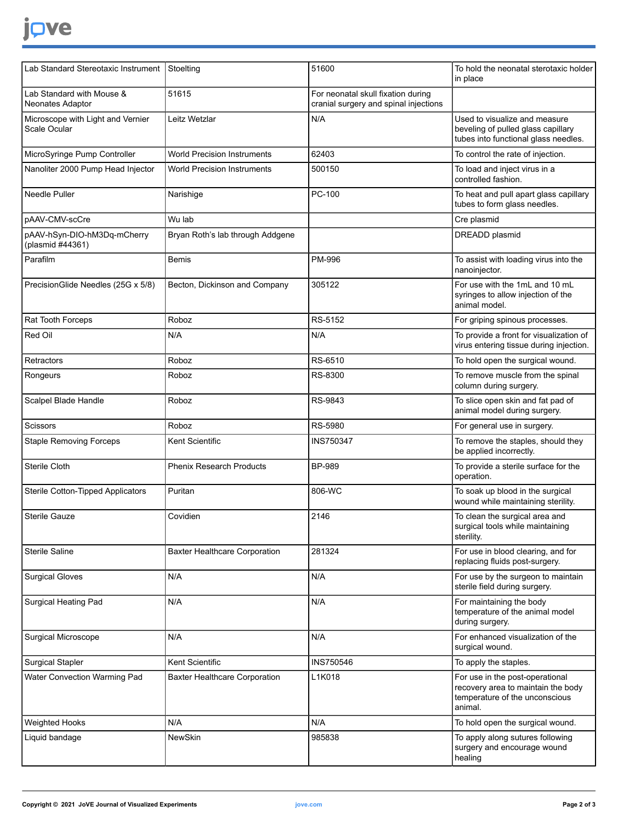## jove

| Lab Standard Stereotaxic Instrument               | Stoelting                            | 51600                                                                       | To hold the neonatal sterotaxic holder<br>in place                                                                 |
|---------------------------------------------------|--------------------------------------|-----------------------------------------------------------------------------|--------------------------------------------------------------------------------------------------------------------|
| Lab Standard with Mouse &<br>Neonates Adaptor     | 51615                                | For neonatal skull fixation during<br>cranial surgery and spinal injections |                                                                                                                    |
| Microscope with Light and Vernier<br>Scale Ocular | Leitz Wetzlar                        | N/A                                                                         | Used to visualize and measure<br>beveling of pulled glass capillary<br>tubes into functional glass needles.        |
| MicroSyringe Pump Controller                      | <b>World Precision Instruments</b>   | 62403                                                                       | To control the rate of injection.                                                                                  |
| Nanoliter 2000 Pump Head Injector                 | <b>World Precision Instruments</b>   | 500150                                                                      | To load and inject virus in a<br>controlled fashion.                                                               |
| Needle Puller                                     | Narishige                            | PC-100                                                                      | To heat and pull apart glass capillary<br>tubes to form glass needles.                                             |
| pAAV-CMV-scCre                                    | Wu lab                               |                                                                             | Cre plasmid                                                                                                        |
| pAAV-hSyn-DIO-hM3Dq-mCherry<br>(plasmid #44361)   | Bryan Roth's lab through Addgene     |                                                                             | DREADD plasmid                                                                                                     |
| Parafilm                                          | Bemis                                | PM-996                                                                      | To assist with loading virus into the<br>nanoinjector.                                                             |
| PrecisionGlide Needles (25G x 5/8)                | Becton, Dickinson and Company        | 305122                                                                      | For use with the 1mL and 10 mL<br>syringes to allow injection of the<br>animal model.                              |
| Rat Tooth Forceps                                 | Roboz                                | RS-5152                                                                     | For griping spinous processes.                                                                                     |
| Red Oil                                           | N/A                                  | N/A                                                                         | To provide a front for visualization of<br>virus entering tissue during injection.                                 |
| Retractors                                        | Roboz                                | RS-6510                                                                     | To hold open the surgical wound.                                                                                   |
| Rongeurs                                          | Roboz                                | RS-8300                                                                     | To remove muscle from the spinal<br>column during surgery.                                                         |
| Scalpel Blade Handle                              | Roboz                                | RS-9843                                                                     | To slice open skin and fat pad of<br>animal model during surgery.                                                  |
| Scissors                                          | Roboz                                | RS-5980                                                                     | For general use in surgery.                                                                                        |
| <b>Staple Removing Forceps</b>                    | Kent Scientific                      | <b>INS750347</b>                                                            | To remove the staples, should they<br>be applied incorrectly.                                                      |
| Sterile Cloth                                     | <b>Phenix Research Products</b>      | <b>BP-989</b>                                                               | To provide a sterile surface for the<br>operation.                                                                 |
| Sterile Cotton-Tipped Applicators                 | Puritan                              | 806-WC                                                                      | To soak up blood in the surgical<br>wound while maintaining sterility.                                             |
| Sterile Gauze                                     | Covidien                             | 2146                                                                        | To clean the surgical area and<br>surgical tools while maintaining<br>sterility.                                   |
| Sterile Saline                                    | <b>Baxter Healthcare Corporation</b> | 281324                                                                      | For use in blood clearing, and for<br>replacing fluids post-surgery.                                               |
| <b>Surgical Gloves</b>                            | N/A                                  | N/A                                                                         | For use by the surgeon to maintain<br>sterile field during surgery.                                                |
| Surgical Heating Pad                              | N/A                                  | N/A                                                                         | For maintaining the body<br>temperature of the animal model<br>during surgery.                                     |
| <b>Surgical Microscope</b>                        | N/A                                  | N/A                                                                         | For enhanced visualization of the<br>surgical wound.                                                               |
| <b>Surgical Stapler</b>                           | Kent Scientific                      | <b>INS750546</b>                                                            | To apply the staples.                                                                                              |
| Water Convection Warming Pad                      | <b>Baxter Healthcare Corporation</b> | L1K018                                                                      | For use in the post-operational<br>recovery area to maintain the body<br>temperature of the unconscious<br>animal. |
| Weighted Hooks                                    | N/A                                  | N/A                                                                         | To hold open the surgical wound.                                                                                   |
| Liquid bandage                                    | <b>NewSkin</b>                       | 985838                                                                      | To apply along sutures following<br>surgery and encourage wound<br>healing                                         |